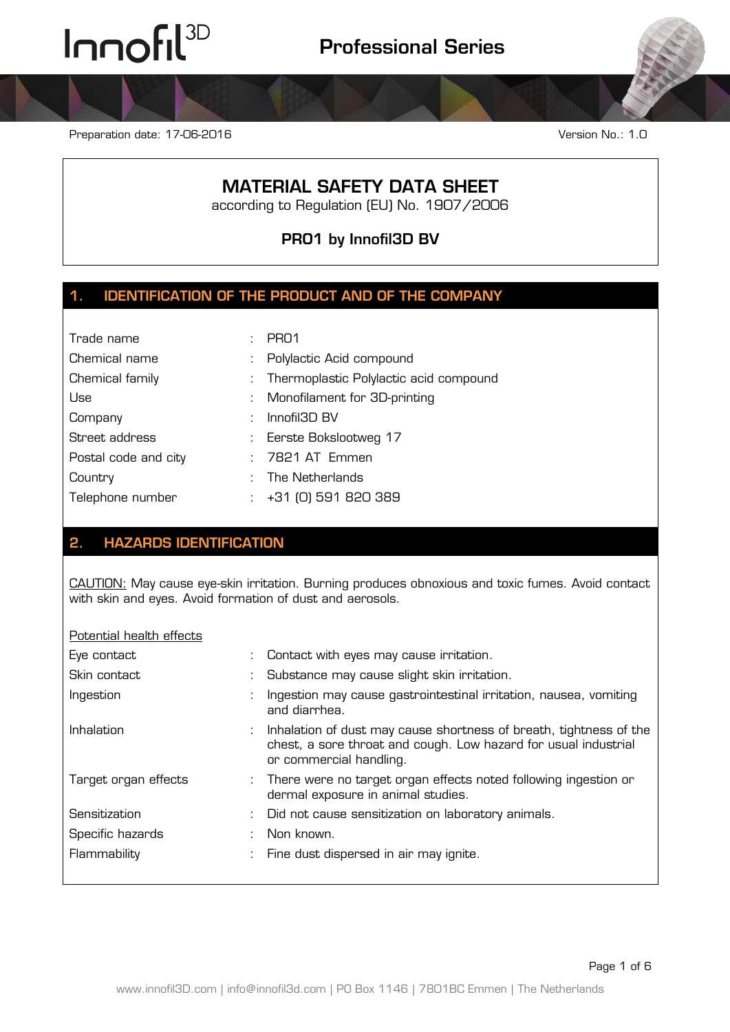Preparation date: 17-06-2016 **Version No.: 1.0** Version No.: 1.0

# **MATERIAL SAFETY DATA SHEET**

according to Regulation (EU) No. 1907/2006

**PRO1 by Innofil3D BV**

### **1. IDENTIFICATION OF THE PRODUCT AND OF THE COMPANY**

| Trade name           |    | PR <sub>01</sub>                       |
|----------------------|----|----------------------------------------|
| Chemical name        | ÷. | Polylactic Acid compound               |
| Chemical family      | ÷  | Thermoplastic Polylactic acid compound |
| Use                  |    | : Monofilament for 3D-printing         |
| Company              |    | Innofil3D BV                           |
| Street address       |    | : Eerste Bokslootweg 17                |
| Postal code and city |    | 7821 AT Emmen                          |
| Country              |    | The Netherlands                        |
| Telephone number     |    | +31 (0) 591 820 389                    |

### **2. HAZARDS IDENTIFICATION**

CAUTION: May cause eye-skin irritation. Burning produces obnoxious and toxic fumes. Avoid contact with skin and eyes. Avoid formation of dust and aerosols.

#### Potential health effects

| Eye contact          | : Contact with eyes may cause irritation.                                                                                                                          |
|----------------------|--------------------------------------------------------------------------------------------------------------------------------------------------------------------|
| Skin contact         | : Substance may cause slight skin irritation.                                                                                                                      |
| Ingestion            | Ingestion may cause gastrointestinal irritation, nausea, vomiting<br>and diarrhea.                                                                                 |
| Inhalation           | : Inhalation of dust may cause shortness of breath, tightness of the<br>chest, a sore throat and cough. Low hazard for usual industrial<br>or commercial handling. |
| Target organ effects | : There were no target organ effects noted following ingestion or<br>dermal exposure in animal studies.                                                            |
| Sensitization        | Did not cause sensitization on laboratory animals.                                                                                                                 |
| Specific hazards     | Non known.                                                                                                                                                         |
| Flammability         | : Fine dust dispersed in air may ignite.                                                                                                                           |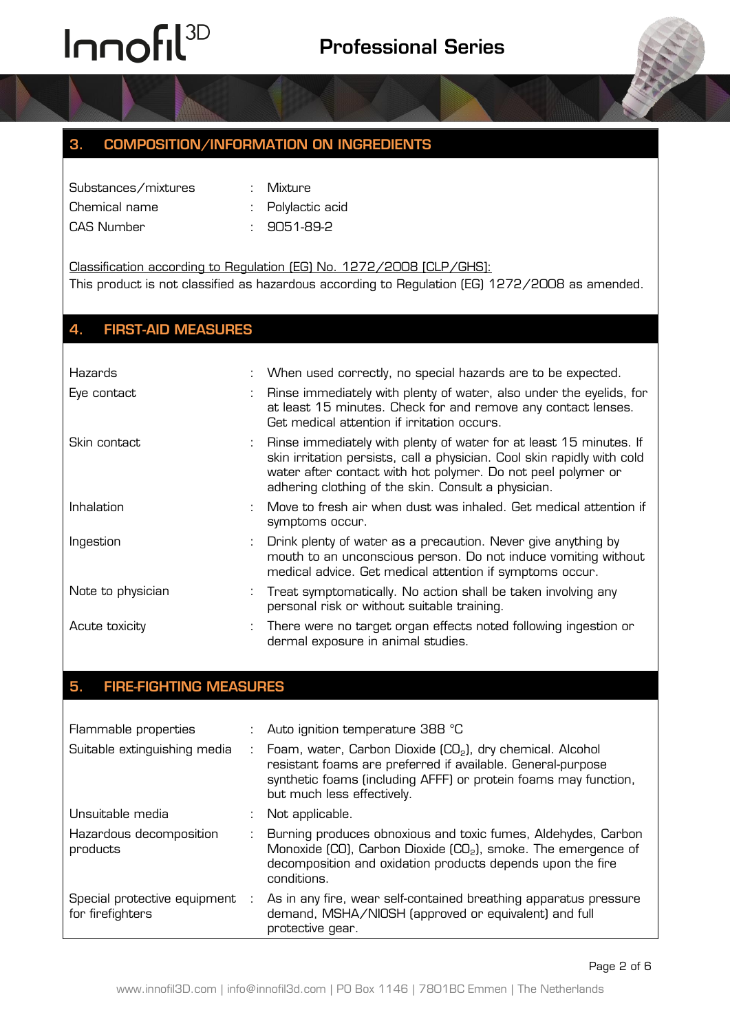### **3. COMPOSITION/INFORMATION ON INGREDIENTS**

| Substances/mixtures |  |
|---------------------|--|
| Chemical name       |  |
| CAS Number          |  |

- : Mixture
- : Polylactic acid
	- $: 9051-89-2$

Classification according to Regulation (EG) No. 1272/2008 [CLP/GHS]: This product is not classified as hazardous according to Regulation (EG) 1272/2008 as amended.

### **4. FIRST-AID MEASURES**

| <b>Hazards</b>    | : When used correctly, no special hazards are to be expected.                                                                                                                                                                                                          |
|-------------------|------------------------------------------------------------------------------------------------------------------------------------------------------------------------------------------------------------------------------------------------------------------------|
| Eye contact       | : Rinse immediately with plenty of water, also under the eyelids, for<br>at least 15 minutes. Check for and remove any contact lenses.<br>Get medical attention if irritation occurs.                                                                                  |
| Skin contact      | : Rinse immediately with plenty of water for at least 15 minutes. If<br>skin irritation persists, call a physician. Cool skin rapidly with cold<br>water after contact with hot polymer. Do not peel polymer or<br>adhering clothing of the skin. Consult a physician. |
| Inhalation        | Move to fresh air when dust was inhaled. Get medical attention if<br>symptoms occur.                                                                                                                                                                                   |
| Ingestion         | : Drink plenty of water as a precaution. Never give anything by<br>mouth to an unconscious person. Do not induce vomiting without<br>medical advice. Get medical attention if symptoms occur.                                                                          |
| Note to physician | : Treat symptomatically. No action shall be taken involving any<br>personal risk or without suitable training.                                                                                                                                                         |
| Acute toxicity    | There were no target organ effects noted following ingestion or<br>dermal exposure in animal studies.                                                                                                                                                                  |

## **5. FIRE-FIGHTING MEASURES**

| Flammable properties                             |                              | : Auto ignition temperature 388 °C                                                                                                                                                                                                    |
|--------------------------------------------------|------------------------------|---------------------------------------------------------------------------------------------------------------------------------------------------------------------------------------------------------------------------------------|
| Suitable extinguishing media                     | $\mathcal{L}$                | Foam, water, Carbon Dioxide (CO <sub>2</sub> ), dry chemical. Alcohol<br>resistant foams are preferred if available. General-purpose<br>synthetic foams (including AFFF) or protein foams may function,<br>but much less effectively. |
| Unsuitable media                                 |                              | Not applicable.                                                                                                                                                                                                                       |
| Hazardous decomposition<br>products              | $\mathcal{L}_{\mathrm{max}}$ | Burning produces obnoxious and toxic fumes, Aldehydes, Carbon<br>Monoxide (CO), Carbon Dioxide (CO <sub>2</sub> ), smoke. The emergence of<br>decomposition and oxidation products depends upon the fire<br>conditions.               |
| Special protective equipment<br>for firefighters |                              | As in any fire, wear self-contained breathing apparatus pressure<br>demand, MSHA/NIOSH (approved or equivalent) and full<br>protective gear.                                                                                          |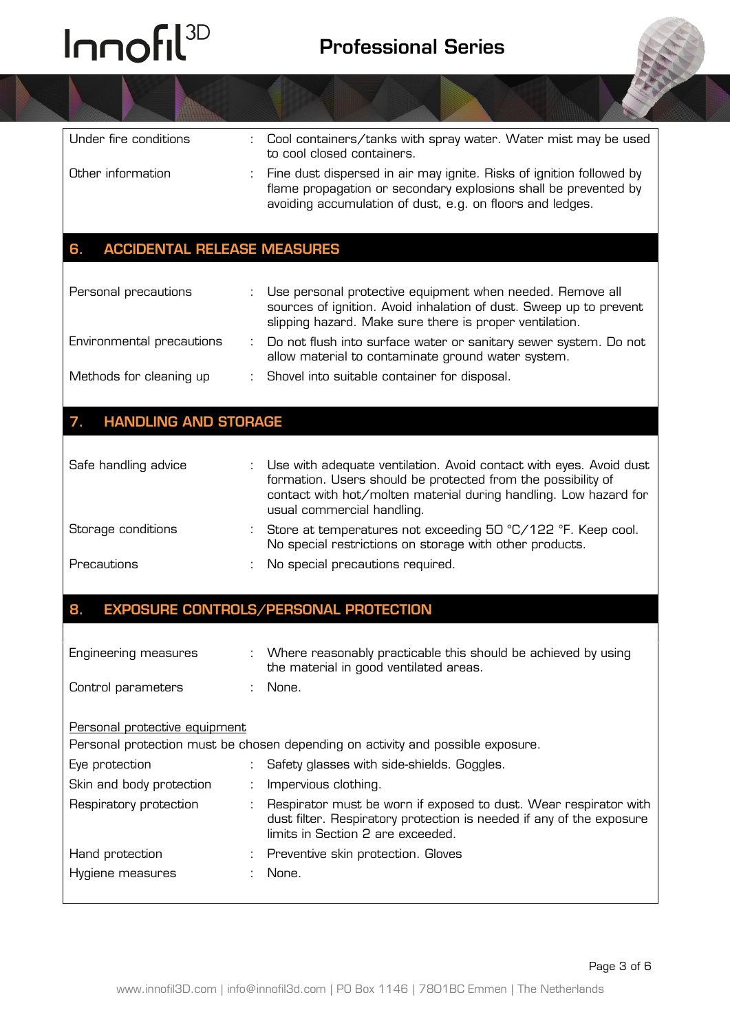

| Under fire conditions                      | Cool containers/tanks with spray water. Water mist may be used<br>to cool closed containers.                                                                                                                                         |
|--------------------------------------------|--------------------------------------------------------------------------------------------------------------------------------------------------------------------------------------------------------------------------------------|
| Other information                          | Fine dust dispersed in air may ignite. Risks of ignition followed by<br>flame propagation or secondary explosions shall be prevented by<br>avoiding accumulation of dust, e.g. on floors and ledges.                                 |
| <b>ACCIDENTAL RELEASE MEASURES</b><br>6.   |                                                                                                                                                                                                                                      |
| Personal precautions                       | Use personal protective equipment when needed. Remove all<br>sources of ignition. Avoid inhalation of dust. Sweep up to prevent<br>slipping hazard. Make sure there is proper ventilation.                                           |
| Environmental precautions                  | Do not flush into surface water or sanitary sewer system. Do not<br>allow material to contaminate ground water system.                                                                                                               |
| Methods for cleaning up                    | Shovel into suitable container for disposal.                                                                                                                                                                                         |
| <b>HANDLING AND STORAGE</b><br>7.          |                                                                                                                                                                                                                                      |
| Safe handling advice                       | Use with adequate ventilation. Avoid contact with eyes. Avoid dust<br>formation. Users should be protected from the possibility of<br>contact with hot/molten material during handling. Low hazard for<br>usual commercial handling. |
| Storage conditions                         | Store at temperatures not exceeding 50 °C/122 °F. Keep cool.<br>No special restrictions on storage with other products.                                                                                                              |
| Precautions                                | No special precautions required.                                                                                                                                                                                                     |
| 8.                                         | <b>EXPOSURE CONTROLS/PERSONAL PROTECTION</b>                                                                                                                                                                                         |
| Engineering measures<br>Control parameters | Where reasonably practicable this should be achieved by using<br>the material in good ventilated areas.<br>None.                                                                                                                     |
|                                            |                                                                                                                                                                                                                                      |
| Personal protective equipment              | Personal protection must be chosen depending on activity and possible exposure.                                                                                                                                                      |
| Eye protection                             | Safety glasses with side-shields. Goggles.                                                                                                                                                                                           |
| Skin and body protection                   | Impervious clothing.                                                                                                                                                                                                                 |
| Respiratory protection                     | Respirator must be worn if exposed to dust. Wear respirator with<br>dust filter. Respiratory protection is needed if any of the exposure<br>limits in Section 2 are exceeded.                                                        |
| Hand protection                            | Preventive skin protection. Gloves                                                                                                                                                                                                   |
| Hygiene measures                           | None.                                                                                                                                                                                                                                |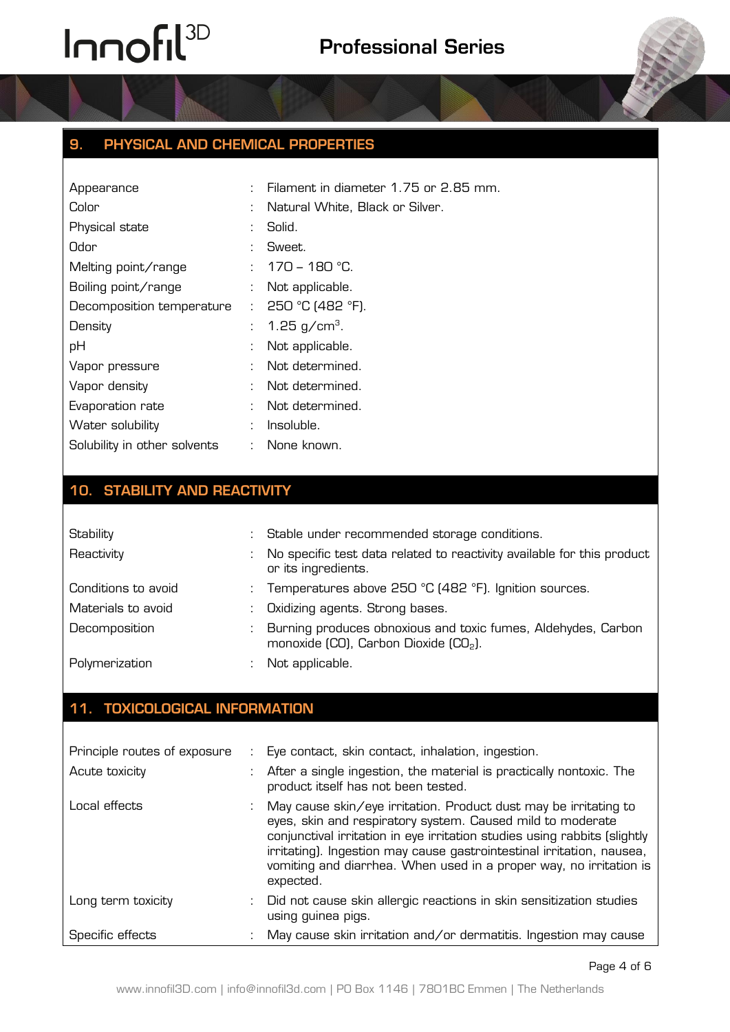

| Appearance                   |                           | Filament in diameter 1.75 or 2.85 mm. |
|------------------------------|---------------------------|---------------------------------------|
| Color                        | ÷                         | Natural White, Black or Silver.       |
| Physical state               |                           | Solid.                                |
| Odor                         | ÷                         | Sweet.                                |
| Melting point/range          |                           | : $170 - 180$ °C.                     |
| Boiling point/range          |                           | Not applicable.                       |
| Decomposition temperature    | t.                        | $250 °C$ (482 °F).                    |
| Density                      | t.                        | 1.25 g/cm <sup>3</sup> .              |
| pH                           |                           | Not applicable.                       |
| Vapor pressure               |                           | Not determined.                       |
| Vapor density                | ÷                         | Not determined.                       |
| Evaporation rate             | ÷.                        | Not determined.                       |
| Water solubility             |                           | Insoluble.                            |
| Solubility in other solvents | $\mathbb{Z}^{\mathbb{Z}}$ | None known.                           |

### **10. STABILITY AND REACTIVITY**

| Stability           | : Stable under recommended storage conditions.                                                                     |
|---------------------|--------------------------------------------------------------------------------------------------------------------|
| Reactivity          | No specific test data related to reactivity available for this product<br>or its ingredients.                      |
| Conditions to avoid | : Temperatures above 250 °C (482 °F). Ignition sources.                                                            |
| Materials to avoid  | Oxidizing agents. Strong bases.                                                                                    |
| Decomposition       | Burning produces obnoxious and toxic fumes, Aldehydes, Carbon<br>monoxide (CO), Carbon Dioxide (CO <sub>2</sub> ). |
| Polymerization      | Not applicable.                                                                                                    |

## **11. TOXICOLOGICAL INFORMATION**

| Principle routes of exposure | : Eye contact, skin contact, inhalation, ingestion.                                                                                                                                                                                                                                                                                                                     |
|------------------------------|-------------------------------------------------------------------------------------------------------------------------------------------------------------------------------------------------------------------------------------------------------------------------------------------------------------------------------------------------------------------------|
| Acute toxicity               | : After a single ingestion, the material is practically nontoxic. The<br>product itself has not been tested.                                                                                                                                                                                                                                                            |
| Local effects                | May cause skin/eye irritation. Product dust may be irritating to<br>eyes, skin and respiratory system. Caused mild to moderate<br>conjunctival irritation in eye irritation studies using rabbits (slightly<br>irritating). Ingestion may cause gastrointestinal irritation, nausea,<br>vomiting and diarrhea. When used in a proper way, no irritation is<br>expected. |
| Long term toxicity           | Did not cause skin allergic reactions in skin sensitization studies<br>using guinea pigs.                                                                                                                                                                                                                                                                               |
| Specific effects             | May cause skin irritation and/or dermatitis. Ingestion may cause                                                                                                                                                                                                                                                                                                        |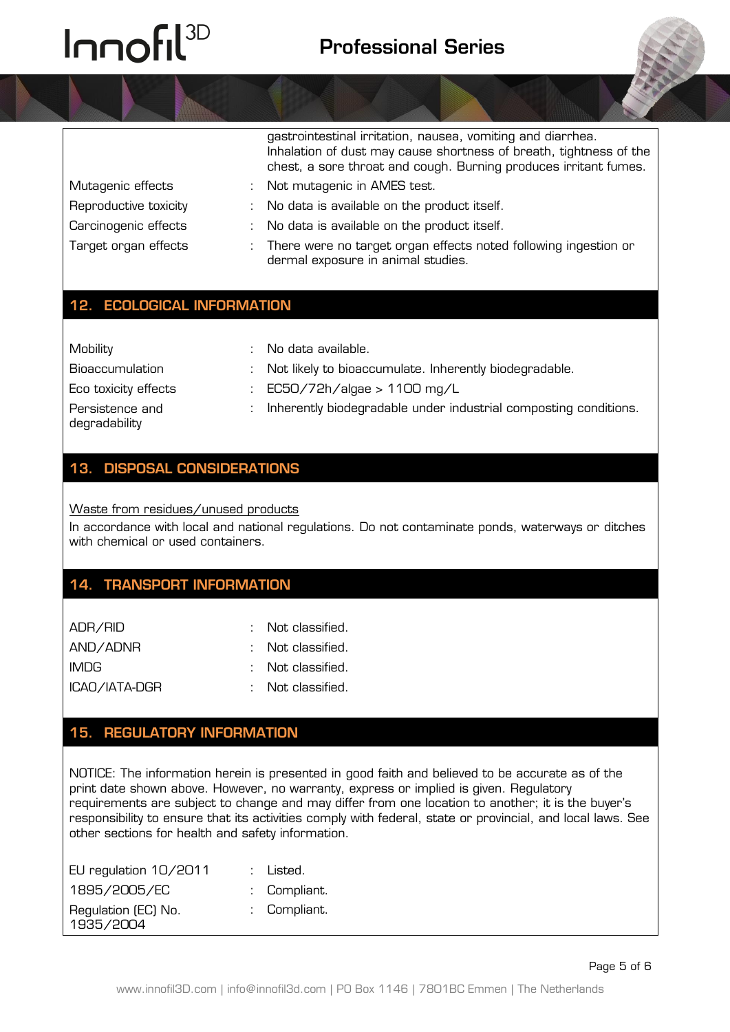gastrointestinal irritation, nausea, vomiting and diarrhea.

|                       | Inhalation of dust may cause shortness of breath, tightness of the<br>chest, a sore throat and cough. Burning produces irritant fumes. |
|-----------------------|----------------------------------------------------------------------------------------------------------------------------------------|
| Mutagenic effects     | : Not mutagenic in AMES test.                                                                                                          |
| Reproductive toxicity | : No data is available on the product itself.                                                                                          |
| Carcinogenic effects  | : No data is available on the product itself.                                                                                          |
| Target organ effects  | : There were no target organ effects noted following ingestion or<br>dermal exposure in animal studies.                                |

#### **12. ECOLOGICAL INFORMATION**

Mobility : No data available.

Bioaccumulation : Not likely to bioaccumulate. Inherently biodegradable.

- Eco toxicity effects : EC50/72h/algae > 1100 mg/L
- Persistence and
- 

degradability

: Inherently biodegradable under industrial composting conditions.

### **13. DISPOSAL CONSIDERATIONS**

Waste from residues/unused products

In accordance with local and national regulations. Do not contaminate ponds, waterways or ditches with chemical or used containers.

#### **14. TRANSPORT INFORMATION**

| ADR/RID       | $\therefore$ Not classified. |
|---------------|------------------------------|
| AND/ADNR      | $\therefore$ Not classified. |
| IMDG.         | $\therefore$ Not classified. |
| ICAO/IATA-DGR | : Not classified.            |

#### **15. REGULATORY INFORMATION**

NOTICE: The information herein is presented in good faith and believed to be accurate as of the print date shown above. However, no warranty, express or implied is given. Regulatory requirements are subject to change and may differ from one location to another; it is the buyer's responsibility to ensure that its activities comply with federal, state or provincial, and local laws. See other sections for health and safety information.

| EU regulation 10/2011            | : Listed.    |
|----------------------------------|--------------|
| 1895/2005/EC                     | : Compliant. |
| Regulation (EC) No.<br>1935/2004 | : Compliant. |